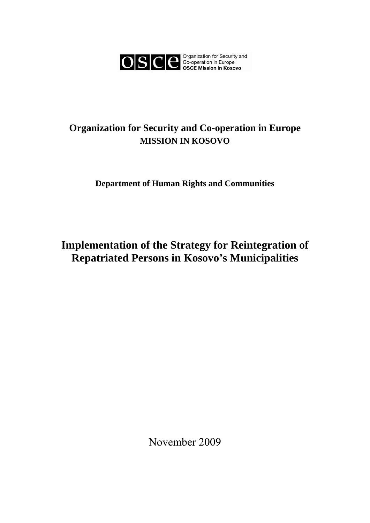

# **Organization for Security and Co-operation in Europe MISSION IN KOSOVO**

# **Department of Human Rights and Communities**

# **Implementation of the Strategy for Reintegration of Repatriated Persons in Kosovo's Municipalities**

November 2009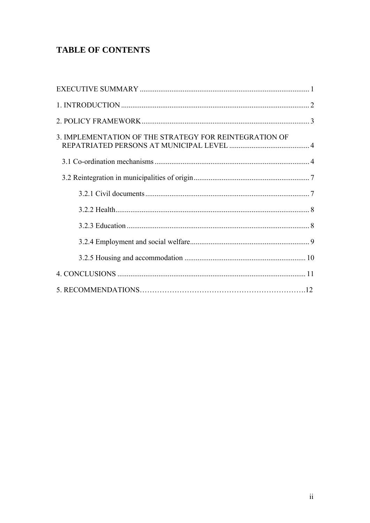# **TABLE OF CONTENTS**

| 3. IMPLEMENTATION OF THE STRATEGY FOR REINTEGRATION OF |  |
|--------------------------------------------------------|--|
|                                                        |  |
|                                                        |  |
|                                                        |  |
|                                                        |  |
|                                                        |  |
|                                                        |  |
|                                                        |  |
|                                                        |  |
|                                                        |  |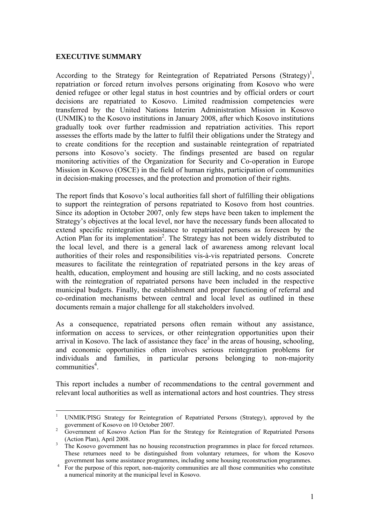#### **EXECUTIVE SUMMARY**

 $\overline{a}$ 

According to the Strategy for Reintegration of Repatriated Persons (Strategy)<sup>1</sup>, repatriation or forced return involves persons originating from Kosovo who were denied refugee or other legal status in host countries and by official orders or court decisions are repatriated to Kosovo. Limited readmission competencies were transferred by the United Nations Interim Administration Mission in Kosovo (UNMIK) to the Kosovo institutions in January 2008, after which Kosovo institutions gradually took over further readmission and repatriation activities. This report assesses the efforts made by the latter to fulfil their obligations under the Strategy and to create conditions for the reception and sustainable reintegration of repatriated persons into Kosovo's society. The findings presented are based on regular monitoring activities of the Organization for Security and Co-operation in Europe Mission in Kosovo (OSCE) in the field of human rights, participation of communities in decision-making processes, and the protection and promotion of their rights.

The report finds that Kosovo's local authorities fall short of fulfilling their obligations to support the reintegration of persons repatriated to Kosovo from host countries. Since its adoption in October 2007, only few steps have been taken to implement the Strategy's objectives at the local level, nor have the necessary funds been allocated to extend specific reintegration assistance to repatriated persons as foreseen by the Action Plan for its implementation<sup>2</sup>. The Strategy has not been widely distributed to the local level, and there is a general lack of awareness among relevant local authorities of their roles and responsibilities vis-à-vis repatriated persons. Concrete measures to facilitate the reintegration of repatriated persons in the key areas of health, education, employment and housing are still lacking, and no costs associated with the reintegration of repatriated persons have been included in the respective municipal budgets. Finally, the establishment and proper functioning of referral and co-ordination mechanisms between central and local level as outlined in these documents remain a major challenge for all stakeholders involved.

As a consequence, repatriated persons often remain without any assistance, information on access to services, or other reintegration opportunities upon their arrival in Kosovo. The lack of assistance they face<sup>3</sup> in the areas of housing, schooling, and economic opportunities often involves serious reintegration problems for individuals and families, in particular persons belonging to non-majority communities<sup>4</sup>.

This report includes a number of recommendations to the central government and relevant local authorities as well as international actors and host countries. They stress

<sup>1</sup> UNMIK/PISG Strategy for Reintegration of Repatriated Persons (Strategy), approved by the

government of Kosovo on 10 October 2007.<br><sup>2</sup> Government of Kosovo Action Plan for the Strategy for Reintegration of Repatriated Persons (Action Plan), April 2008.

The Kosovo government has no housing reconstruction programmes in place for forced returnees. These returnees need to be distinguished from voluntary returnees, for whom the Kosovo government has some assistance programmes, including some housing reconstruction programmes. 4

For the purpose of this report, non-majority communities are all those communities who constitute a numerical minority at the municipal level in Kosovo.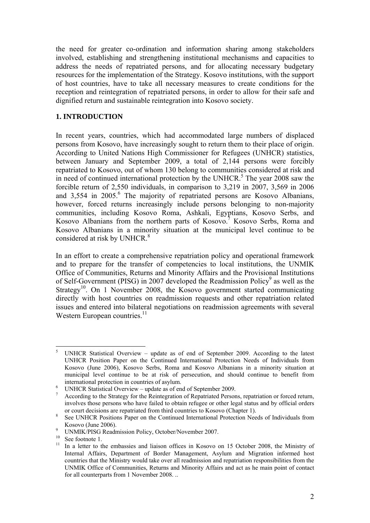the need for greater co-ordination and information sharing among stakeholders involved, establishing and strengthening institutional mechanisms and capacities to address the needs of repatriated persons, and for allocating necessary budgetary resources for the implementation of the Strategy. Kosovo institutions, with the support of host countries, have to take all necessary measures to create conditions for the reception and reintegration of repatriated persons, in order to allow for their safe and dignified return and sustainable reintegration into Kosovo society.

#### **1. INTRODUCTION**

In recent years, countries, which had accommodated large numbers of displaced persons from Kosovo, have increasingly sought to return them to their place of origin. According to United Nations High Commissioner for Refugees (UNHCR) statistics, between January and September 2009, a total of 2,144 persons were forcibly repatriated to Kosovo, out of whom 130 belong to communities considered at risk and in need of continued international protection by the UNHCR.<sup>5</sup> The year 2008 saw the forcible return of 2,550 individuals, in comparison to 3,219 in 2007, 3,569 in 2006 and 3,554 in 2005.<sup>6</sup> The majority of repatriated persons are Kosovo Albanians, however, forced returns increasingly include persons belonging to non-majority communities, including Kosovo Roma, Ashkali, Egyptians, Kosovo Serbs, and Kosovo Albanians from the northern parts of Kosovo.<sup>7</sup> Kosovo Serbs, Roma and Kosovo Albanians in a minority situation at the municipal level continue to be considered at risk by UNHCR.<sup>8</sup>

In an effort to create a comprehensive repatriation policy and operational framework and to prepare for the transfer of competencies to local institutions, the UNMIK Office of Communities, Returns and Minority Affairs and the Provisional Institutions of Self-Government (PISG) in 2007 developed the Readmission Policy<sup>9</sup> as well as the Strategy<sup>10</sup>. On 1 November 2008, the Kosovo government started communicating directly with host countries on readmission requests and other repatriation related issues and entered into bilateral negotiations on readmission agreements with several Western European countries.<sup>11</sup>

 5 UNHCR Statistical Overview – update as of end of September 2009. According to the latest UNHCR Position Paper on the Continued International Protection Needs of Individuals from Kosovo (June 2006), Kosovo Serbs, Roma and Kosovo Albanians in a minority situation at municipal level continue to be at risk of persecution, and should continue to benefit from international protection in countries of asylum. 6

UNHCR Statistical Overview – update as of end of September 2009.

<sup>7</sup> According to the Strategy for the Reintegration of Repatriated Persons, repatriation or forced return, involves those persons who have failed to obtain refugee or other legal status and by official orders

or court decisions are repatriated from third countries to Kosovo (Chapter 1).<br><sup>8</sup> See UNHCR Positions Paper on the Continued International Protection Needs of Individuals from Kosovo (June 2006).

UNMIK/PISG Readmission Policy, October/November 2007.

<sup>&</sup>lt;sup>10</sup> See footnote 1.

<sup>11</sup> In a letter to the embassies and liaison offices in Kosovo on 15 October 2008, the Ministry of Internal Affairs, Department of Border Management, Asylum and Migration informed host countries that the Ministry would take over all readmission and repatriation responsibilities from the UNMIK Office of Communities, Returns and Minority Affairs and act as he main point of contact for all counterparts from 1 November 2008. ..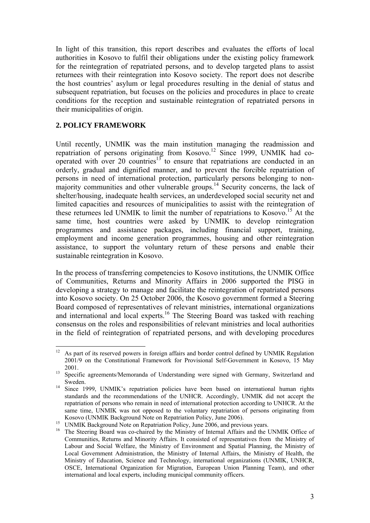In light of this transition, this report describes and evaluates the efforts of local authorities in Kosovo to fulfil their obligations under the existing policy framework for the reintegration of repatriated persons, and to develop targeted plans to assist returnees with their reintegration into Kosovo society. The report does not describe the host countries' asylum or legal procedures resulting in the denial of status and subsequent repatriation, but focuses on the policies and procedures in place to create conditions for the reception and sustainable reintegration of repatriated persons in their municipalities of origin.

# **2. POLICY FRAMEWORK**

Until recently, UNMIK was the main institution managing the readmission and repatriation of persons originating from Kosovo.<sup>12</sup> Since 1999, UNMIK had cooperated with over 20 countries<sup>13</sup> to ensure that repatriations are conducted in an orderly, gradual and dignified manner, and to prevent the forcible repatriation of persons in need of international protection, particularly persons belonging to nonmajority communities and other vulnerable groups.<sup>14</sup> Security concerns, the lack of shelter/housing, inadequate health services, an underdeveloped social security net and limited capacities and resources of municipalities to assist with the reintegration of these returnees led UNMIK to limit the number of repatriations to Kosovo.<sup>15</sup> At the same time, host countries were asked by UNMIK to develop reintegration programmes and assistance packages, including financial support, training, employment and income generation programmes, housing and other reintegration assistance, to support the voluntary return of these persons and enable their sustainable reintegration in Kosovo.

In the process of transferring competencies to Kosovo institutions, the UNMIK Office of Communities, Returns and Minority Affairs in 2006 supported the PISG in developing a strategy to manage and facilitate the reintegration of repatriated persons into Kosovo society. On 25 October 2006, the Kosovo government formed a Steering Board composed of representatives of relevant ministries, international organizations and international and local experts.<sup>16</sup> The Steering Board was tasked with reaching consensus on the roles and responsibilities of relevant ministries and local authorities in the field of reintegration of repatriated persons, and with developing procedures

 $12\,$ 12 As part of its reserved powers in foreign affairs and border control defined by UNMIK Regulation 2001/9 on the Constitutional Framework for Provisional Self-Government in Kosovo, 15 May

<sup>2001. 13</sup> Specific agreements/Memoranda of Understanding were signed with Germany, Switzerland and

Sweden. 14 Since 1999, UNMIK's repatriation policies have been based on international human rights standards and the recommendations of the UNHCR. Accordingly, UNMIK did not accept the repatriation of persons who remain in need of international protection according to UNHCR. At the same time, UNMIK was not opposed to the voluntary repatriation of persons originating from

Kosovo (UNMIK Background Note on Repatriation Policy, June 2006).<br><sup>15</sup> UNMIK Background Note on Repatriation Policy, June 2006, and previous years.

<sup>&</sup>lt;sup>16</sup> The Steering Board was co-chaired by the Ministry of Internal Affairs and the UNMIK Office of Communities, Returns and Minority Affairs. It consisted of representatives from the Ministry of Labour and Social Welfare, the Ministry of Environment and Spatial Planning, the Ministry of Local Government Administration, the Ministry of Internal Affairs, the Ministry of Health, the Ministry of Education, Science and Technology, international organizations (UNMIK, UNHCR, OSCE, International Organization for Migration, European Union Planning Team), and other international and local experts, including municipal community officers.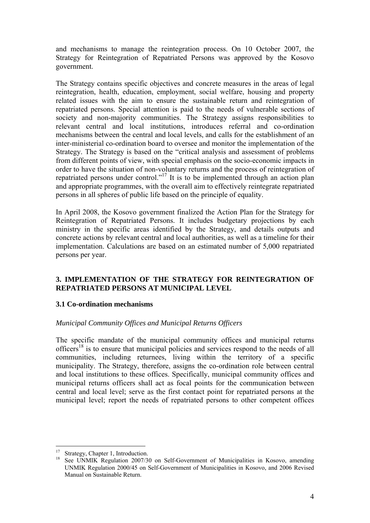and mechanisms to manage the reintegration process. On 10 October 2007, the Strategy for Reintegration of Repatriated Persons was approved by the Kosovo government.

The Strategy contains specific objectives and concrete measures in the areas of legal reintegration, health, education, employment, social welfare, housing and property related issues with the aim to ensure the sustainable return and reintegration of repatriated persons. Special attention is paid to the needs of vulnerable sections of society and non-majority communities. The Strategy assigns responsibilities to relevant central and local institutions, introduces referral and co-ordination mechanisms between the central and local levels, and calls for the establishment of an inter-ministerial co-ordination board to oversee and monitor the implementation of the Strategy. The Strategy is based on the "critical analysis and assessment of problems from different points of view, with special emphasis on the socio-economic impacts in order to have the situation of non-voluntary returns and the process of reintegration of repatriated persons under control."<sup>17</sup> It is to be implemented through an action plan and appropriate programmes, with the overall aim to effectively reintegrate repatriated persons in all spheres of public life based on the principle of equality.

In April 2008, the Kosovo government finalized the Action Plan for the Strategy for Reintegration of Repatriated Persons. It includes budgetary projections by each ministry in the specific areas identified by the Strategy, and details outputs and concrete actions by relevant central and local authorities, as well as a timeline for their implementation. Calculations are based on an estimated number of 5,000 repatriated persons per year.

# **3. IMPLEMENTATION OF THE STRATEGY FOR REINTEGRATION OF REPATRIATED PERSONS AT MUNICIPAL LEVEL**

#### **3.1 Co-ordination mechanisms**

#### *Municipal Community Offices and Municipal Returns Officers*

The specific mandate of the municipal community offices and municipal returns officers<sup>18</sup> is to ensure that municipal policies and services respond to the needs of all communities, including returnees, living within the territory of a specific municipality. The Strategy, therefore, assigns the co-ordination role between central and local institutions to these offices. Specifically, municipal community offices and municipal returns officers shall act as focal points for the communication between central and local level; serve as the first contact point for repatriated persons at the municipal level; report the needs of repatriated persons to other competent offices

<sup>17</sup> Strategy, Chapter 1, Introduction.

<sup>18</sup> See UNMIK Regulation 2007/30 on Self-Government of Municipalities in Kosovo, amending UNMIK Regulation 2000/45 on Self-Government of Municipalities in Kosovo, and 2006 Revised Manual on Sustainable Return.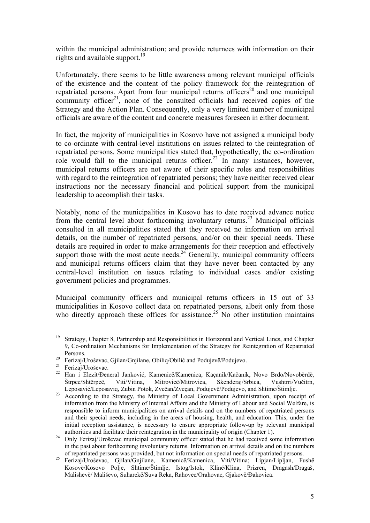within the municipal administration; and provide returnees with information on their rights and available support.<sup>19</sup>

Unfortunately, there seems to be little awareness among relevant municipal officials of the existence and the content of the policy framework for the reintegration of repatriated persons. Apart from four municipal returns officers<sup>20</sup> and one municipal community officer<sup>21</sup>, none of the consulted officials had received copies of the Strategy and the Action Plan. Consequently, only a very limited number of municipal officials are aware of the content and concrete measures foreseen in either document.

In fact, the majority of municipalities in Kosovo have not assigned a municipal body to co-ordinate with central-level institutions on issues related to the reintegration of repatriated persons. Some municipalities stated that, hypothetically, the co-ordination role would fall to the municipal returns officer.<sup>22</sup> In many instances, however, municipal returns officers are not aware of their specific roles and responsibilities with regard to the reintegration of repatriated persons; they have neither received clear instructions nor the necessary financial and political support from the municipal leadership to accomplish their tasks.

Notably, none of the municipalities in Kosovo has to date received advance notice from the central level about forthcoming involuntary returns.<sup>23</sup> Municipal officials consulted in all municipalities stated that they received no information on arrival details, on the number of repatriated persons, and/or on their special needs. These details are required in order to make arrangements for their reception and effectively support those with the most acute needs.<sup>24</sup> Generally, municipal community officers and municipal returns officers claim that they have never been contacted by any central-level institution on issues relating to individual cases and/or existing government policies and programmes.

Municipal community officers and municipal returns officers in 15 out of 33 municipalities in Kosovo collect data on repatriated persons, albeit only from those who directly approach these offices for assistance.<sup>25</sup> No other institution maintains

 $19<sup>°</sup>$ 19 Strategy, Chapter 8, Partnership and Responsibilities in Horizontal and Vertical Lines, and Chapter 9, Co-ordination Mechanisms for Implementation of the Strategy for Reintegration of Repatriated

Persons. 20 Ferizaj/Uroševac, Gjilan/Gnjilane, Obiliq/Obilić and Podujevë/Podujevo. 21 Ferizaj/Uroševac.

<sup>22</sup> Han i Elezit/Ðeneral Janković, Kamenicë/Kamenica, Kaçanik/Kačanik, Novo Brdo/Novobërdë, Štrpce/Shtërpcë, Viti/Vitina, Mitrovicë/Mitrovica, Skenderaj/Srbica, Vushtrri/Vučitrn,

Leposavić/Leposaviq, Zubin Potok, Zvečan/Zveçan, Podujevë/Podujevo, and Shtime/Štimlje.<br><sup>23</sup> According to the Strategy, the Ministry of Local Government Administration, upon receipt of information from the Ministry of Internal Affairs and the Ministry of Labour and Social Welfare, is responsible to inform municipalities on arrival details and on the numbers of repatriated persons and their special needs, including in the areas of housing, health, and education. This, under the initial reception assistance, is necessary to ensure appropriate follow-up by relevant municipal

authorities and facilitate their reintegration in the municipality of origin (Chapter 1). 24 Only Ferizaj/Uroševac municipal community officer stated that he had received some information in the past about forthcoming involuntary returns. Information on arrival details and on the numbers

of repatriated persons was provided, but not information on special needs of repatriated persons. 25 Ferizaj/Uroševac, Gjilan/Gnjilane, Kamenicë/Kamenica, Viti/Vitina; Lipjan/Lipljan, Fushë Kosovë/Kosovo Polje, Shtime/Štimlje, Istog/Istok, Klinë/Klina, Prizren, Dragash/Dragaš, Malishevë/ Mališevo, Suharekë/Suva Reka, Rahovec/Orahovac, Gjakovë/Ðakovica.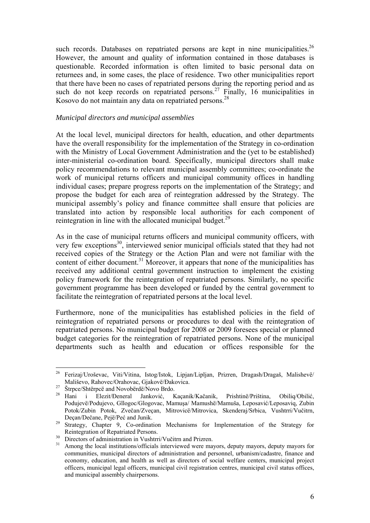such records. Databases on repatriated persons are kept in nine municipalities.<sup>26</sup> However, the amount and quality of information contained in those databases is questionable. Recorded information is often limited to basic personal data on returnees and, in some cases, the place of residence. Two other municipalities report that there have been no cases of repatriated persons during the reporting period and as such do not keep records on repatriated persons.<sup>27</sup> Finally, 16 municipalities in Kosovo do not maintain any data on repatriated persons.<sup>28</sup>

#### *Municipal directors and municipal assemblies*

At the local level, municipal directors for health, education, and other departments have the overall responsibility for the implementation of the Strategy in co-ordination with the Ministry of Local Government Administration and the (yet to be established) inter-ministerial co-ordination board. Specifically, municipal directors shall make policy recommendations to relevant municipal assembly committees; co-ordinate the work of municipal returns officers and municipal community offices in handling individual cases; prepare progress reports on the implementation of the Strategy; and propose the budget for each area of reintegration addressed by the Strategy. The municipal assembly's policy and finance committee shall ensure that policies are translated into action by responsible local authorities for each component of reintegration in line with the allocated municipal budget.<sup>29</sup>

As in the case of municipal returns officers and municipal community officers, with very few exceptions<sup>30</sup>, interviewed senior municipal officials stated that they had not received copies of the Strategy or the Action Plan and were not familiar with the content of either document.<sup>31</sup> Moreover, it appears that none of the municipalities has received any additional central government instruction to implement the existing policy framework for the reintegration of repatriated persons. Similarly, no specific government programme has been developed or funded by the central government to facilitate the reintegration of repatriated persons at the local level.

Furthermore, none of the municipalities has established policies in the field of reintegration of repatriated persons or procedures to deal with the reintegration of repatriated persons. No municipal budget for 2008 or 2009 foresees special or planned budget categories for the reintegration of repatriated persons. None of the municipal departments such as health and education or offices responsible for the

 $\overline{a}$ 26 Ferizaj/Uroševac, Viti/Vitina, Istog/Istok, Lipjan/Lipljan, Prizren, Dragash/Dragaš, Malishevë/

Mališevo, Rahovec/Orahovac, Gjakovë/Đakovica.<br><sup>27</sup> Štrpce/Shtërpcë and Novobërdë/Novo Brdo.<br><sup>28</sup> Hani i Elezit/Đeneral Janković, Kaçanik/Kačanik, Prishtinë/Priština, Obiliq/Obilić, Podujevё/Podujevo, Gllogoc/Glogovac, Mamuşa/ Mamushë/Mamuša, Leposavić/Leposaviq, Zubin Potok/Zubin Potok, Zvečan/Zveçan, Mitrovicë/Mitrovica, Skenderaj/Srbica, Vushtrri/Vučitrn,

<sup>&</sup>lt;sup>29</sup> Strategy, Chapter 9, Co-ordination Mechanisms for Implementation of the Strategy for Reintegration of Repatriated Persons.<br><sup>30</sup> Directors of administration in Vushtrri/Vučitrn and Prizren.<br><sup>31</sup> Among the local institutions/officials interviewed were mayors, deputy mayors, deputy mayors for

communities, municipal directors of administration and personnel, urbanism/cadastre, finance and economy, education, and health as well as directors of social welfare centers, municipal project officers, municipal legal officers, municipal civil registration centres, municipal civil status offices, and municipal assembly chairpersons.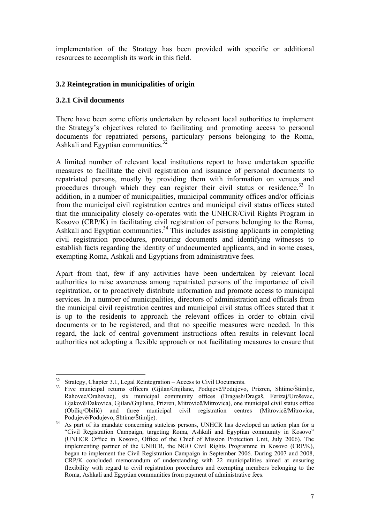implementation of the Strategy has been provided with specific or additional resources to accomplish its work in this field.

### **3.2 Reintegration in municipalities of origin**

#### **3.2.1 Civil documents**

There have been some efforts undertaken by relevant local authorities to implement the Strategy's objectives related to facilitating and promoting access to personal documents for repatriated persons, particulary persons belonging to the Roma, Ashkali and Egyptian communities. $3<sup>3</sup>$ 

A limited number of relevant local institutions report to have undertaken specific measures to facilitate the civil registration and issuance of personal documents to repatriated persons, mostly by providing them with information on venues and procedures through which they can register their civil status or residence.<sup>33</sup> In addition, in a number of municipalities, municipal community offices and/or officials from the municipal civil registration centres and municipal civil status offices stated that the municipality closely co-operates with the UNHCR/Civil Rights Program in Kosovo (CRP/K) in facilitating civil registration of persons belonging to the Roma, Ashkali and Egyptian communities.<sup>34</sup> This includes assisting applicants in completing civil registration procedures, procuring documents and identifying witnesses to establish facts regarding the identity of undocumented applicants, and in some cases, exempting Roma, Ashkali and Egyptians from administrative fees.

Apart from that, few if any activities have been undertaken by relevant local authorities to raise awareness among repatriated persons of the importance of civil registration, or to proactively distribute information and promote access to municipal services. In a number of municipalities, directors of administration and officials from the municipal civil registration centres and municipal civil status offices stated that it is up to the residents to approach the relevant offices in order to obtain civil documents or to be registered, and that no specific measures were needed. In this regard, the lack of central government instructions often results in relevant local authorities not adopting a flexible approach or not facilitating measures to ensure that

 $\overline{a}$ Strategy, Chapter 3.1, Legal Reintegration – Access to Civil Documents.

<sup>33</sup> Five municipal returns officers (Gjilan/Gnjilane, Podujevë/Podujevo, Prizren, Shtime/Štimlje, Rahovec/Orahovac), six municipal community offices (Dragash/Dragaš, Ferizaj/Uroševac, Gjakovë/Ðakovica, Gjilan/Gnjilane, Prizren, Mitrovicë/Mitrovica), one municipal civil status office (Obiliq/Obilić) and three municipal civil registration centres (Mitrovicë/Mitrovica,

<sup>&</sup>lt;sup>34</sup> As part of its mandate concerning stateless persons, UNHCR has developed an action plan for a "Civil Registration Campaign, targeting Roma, Ashkali and Egyptian community in Kosovo" (UNHCR Office in Kosovo, Office of the Chief of Mission Protection Unit, July 2006). The implementing partner of the UNHCR, the NGO Civil Rights Programme in Kosovo (CRP/K), began to implement the Civil Registration Campaign in September 2006. During 2007 and 2008, CRP/K concluded memorandum of understanding with 22 municipalities aimed at ensuring flexibility with regard to civil registration procedures and exempting members belonging to the Roma, Ashkali and Egyptian communities from payment of administrative fees.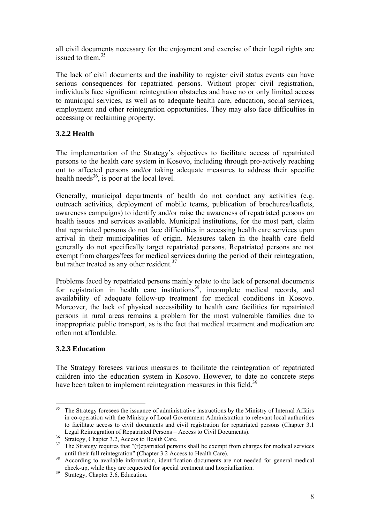all civil documents necessary for the enjoyment and exercise of their legal rights are issued to them. $35$ 

The lack of civil documents and the inability to register civil status events can have serious consequences for repatriated persons. Without proper civil registration, individuals face significant reintegration obstacles and have no or only limited access to municipal services, as well as to adequate health care, education, social services, employment and other reintegration opportunities. They may also face difficulties in accessing or reclaiming property.

# **3.2.2 Health**

The implementation of the Strategy's objectives to facilitate access of repatriated persons to the health care system in Kosovo, including through pro-actively reaching out to affected persons and/or taking adequate measures to address their specific health needs<sup>36</sup>, is poor at the local level.

Generally, municipal departments of health do not conduct any activities (e.g. outreach activities, deployment of mobile teams, publication of brochures/leaflets, awareness campaigns) to identify and/or raise the awareness of repatriated persons on health issues and services available. Municipal institutions, for the most part, claim that repatriated persons do not face difficulties in accessing health care services upon arrival in their municipalities of origin. Measures taken in the health care field generally do not specifically target repatriated persons. Repatriated persons are not exempt from charges/fees for medical services during the period of their reintegration, but rather treated as any other resident.<sup>37</sup>

Problems faced by repatriated persons mainly relate to the lack of personal documents for registration in health care institutions<sup>38</sup>, incomplete medical records, and availability of adequate follow-up treatment for medical conditions in Kosovo. Moreover, the lack of physical accessibility to health care facilities for repatriated persons in rural areas remains a problem for the most vulnerable families due to inappropriate public transport, as is the fact that medical treatment and medication are often not affordable.

# **3.2.3 Education**

The Strategy foresees various measures to facilitate the reintegration of repatriated children into the education system in Kosovo. However, to date no concrete steps have been taken to implement reintegration measures in this field.<sup>39</sup>

<sup>35</sup> The Strategy foresees the issuance of administrative instructions by the Ministry of Internal Affairs in co-operation with the Ministry of Local Government Administration to relevant local authorities to facilitate access to civil documents and civil registration for repatriated persons (Chapter 3.1 Legal Reintegration of Repatriated Persons – Access to Civil Documents). 36 Strategy, Chapter 3.2, Access to Health Care.

<sup>&</sup>lt;sup>37</sup> The Strategy requires that "(r)epatriated persons shall be exempt from charges for medical services until their full reintegration" (Chapter 3.2 Access to Health Care).

<sup>&</sup>lt;sup>38</sup> According to available information, identification documents are not needed for general medical check-up, while they are requested for special treatment and hospitalization. 39 Strategy, Chapter 3.6, Education.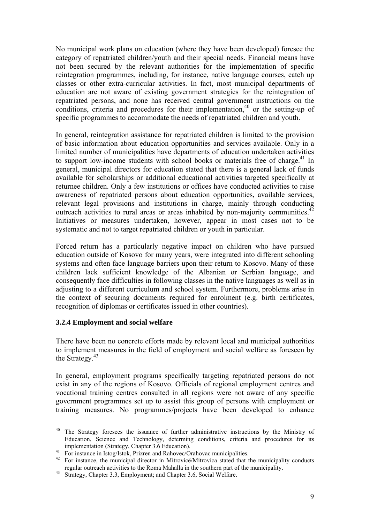No municipal work plans on education (where they have been developed) foresee the category of repatriated children/youth and their special needs. Financial means have not been secured by the relevant authorities for the implementation of specific reintegration programmes, including, for instance, native language courses, catch up classes or other extra-curricular activities. In fact, most municipal departments of education are not aware of existing government strategies for the reintegration of repatriated persons, and none has received central government instructions on the conditions, criteria and procedures for their implementation,<sup>40</sup> or the setting-up of specific programmes to accommodate the needs of repatriated children and youth.

In general, reintegration assistance for repatriated children is limited to the provision of basic information about education opportunities and services available. Only in a limited number of municipalities have departments of education undertaken activities to support low-income students with school books or materials free of charge.<sup>41</sup> In general, municipal directors for education stated that there is a general lack of funds available for scholarships or additional educational activities targeted specifically at returnee children. Only a few institutions or offices have conducted activities to raise awareness of repatriated persons about education opportunities, available services, relevant legal provisions and institutions in charge, mainly through conducting outreach activities to rural areas or areas inhabited by non-majority communities. $42$ Initiatives or measures undertaken, however, appear in most cases not to be systematic and not to target repatriated children or youth in particular.

Forced return has a particularly negative impact on children who have pursued education outside of Kosovo for many years, were integrated into different schooling systems and often face language barriers upon their return to Kosovo. Many of these children lack sufficient knowledge of the Albanian or Serbian language, and consequently face difficulties in following classes in the native languages as well as in adjusting to a different curriculum and school system. Furthermore, problems arise in the context of securing documents required for enrolment (e.g. birth certificates, recognition of diplomas or certificates issued in other countries).

# **3.2.4 Employment and social welfare**

There have been no concrete efforts made by relevant local and municipal authorities to implement measures in the field of employment and social welfare as foreseen by the Strategy.<sup>43</sup>

In general, employment programs specifically targeting repatriated persons do not exist in any of the regions of Kosovo. Officials of regional employment centres and vocational training centres consulted in all regions were not aware of any specific government programmes set up to assist this group of persons with employment or training measures. No programmes/projects have been developed to enhance

 $40\,$ The Strategy foresees the issuance of further administrative instructions by the Ministry of Education, Science and Technology, determing conditions, criteria and procedures for its implementation (Strategy, Chapter 3.6 Education).<br><sup>41</sup> For instance in Istog/Istok, Prizren and Rahovec/Orahovac municipalities.

<sup>&</sup>lt;sup>42</sup> For instance, the municipal director in Mitrovicë/Mitrovica stated that the municipality conducts regular outreach activities to the Roma Mahalla in the southern part of the municipality. 43 Strategy, Chapter 3.3, Employment; and Chapter 3.6, Social Welfare.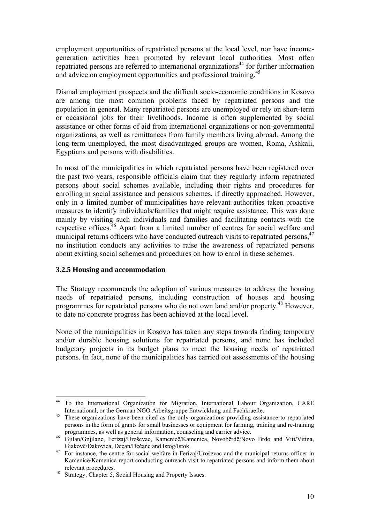employment opportunities of repatriated persons at the local level, nor have incomegeneration activities been promoted by relevant local authorities. Most often repatriated persons are referred to international organizations<sup>44</sup> for further information and advice on employment opportunities and professional training.<sup>45</sup>

Dismal employment prospects and the difficult socio-economic conditions in Kosovo are among the most common problems faced by repatriated persons and the population in general. Many repatriated persons are unemployed or rely on short-term or occasional jobs for their livelihoods. Income is often supplemented by social assistance or other forms of aid from international organizations or non-governmental organizations, as well as remittances from family members living abroad. Among the long-term unemployed, the most disadvantaged groups are women, Roma, Ashkali, Egyptians and persons with disabilities.

In most of the municipalities in which repatriated persons have been registered over the past two years, responsible officials claim that they regularly inform repatriated persons about social schemes available, including their rights and procedures for enrolling in social assistance and pensions schemes, if directly approached. However, only in a limited number of municipalities have relevant authorities taken proactive measures to identify individuals/families that might require assistance. This was done mainly by visiting such individuals and families and facilitating contacts with the respective offices.<sup>46</sup> Apart from a limited number of centres for social welfare and municipal returns officers who have conducted outreach visits to repatriated persons.<sup> $47$ </sup> no institution conducts any activities to raise the awareness of repatriated persons about existing social schemes and procedures on how to enrol in these schemes.

# **3.2.5 Housing and accommodation**

The Strategy recommends the adoption of various measures to address the housing needs of repatriated persons, including construction of houses and housing programmes for repatriated persons who do not own land and/or property.<sup>48</sup> However, to date no concrete progress has been achieved at the local level.

None of the municipalities in Kosovo has taken any steps towards finding temporary and/or durable housing solutions for repatriated persons, and none has included budgetary projects in its budget plans to meet the housing needs of repatriated persons. In fact, none of the municipalities has carried out assessments of the housing

 $\overline{a}$ 44 To the International Organization for Migration, International Labour Organization, CARE International, or the German NGO Arbeitsgruppe Entwicklung und Fachkraefte.<br><sup>45</sup> These organizations have been cited as the only organizations providing assistance to repatriated

persons in the form of grants for small businesses or equipment for farming, training and re-training

programmes, as well as general information, counseling and carrier advice. 46 Gjilan/Gnjilane, Ferizaj/Uroševac, Kamenicë/Kamenica, Novobërdë/Novo Brdo and Viti/Vitina, Gjakovë/Đakovica, Deçan/Dečane and Istog/Istok.<br><sup>47</sup> For instance, the centre for social welfare in Ferizaj/Uroševac and the municipal returns officer in

Kamenicë/Kamenica report conducting outreach visit to repatriated persons and inform them about

relevant procedures. 48 Strategy, Chapter 5, Social Housing and Property Issues.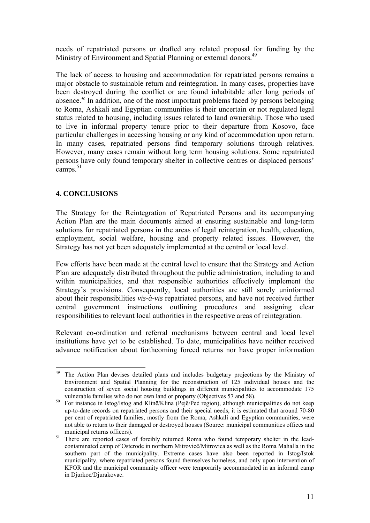needs of repatriated persons or drafted any related proposal for funding by the Ministry of Environment and Spatial Planning or external donors.<sup>49</sup>

The lack of access to housing and accommodation for repatriated persons remains a major obstacle to sustainable return and reintegration. In many cases, properties have been destroyed during the conflict or are found inhabitable after long periods of absence.50 In addition, one of the most important problems faced by persons belonging to Roma, Ashkali and Egyptian communities is their uncertain or not regulated legal status related to housing, including issues related to land ownership. Those who used to live in informal property tenure prior to their departure from Kosovo, face particular challenges in accessing housing or any kind of accommodation upon return. In many cases, repatriated persons find temporary solutions through relatives. However, many cases remain without long term housing solutions. Some repatriated persons have only found temporary shelter in collective centres or displaced persons' camps $\frac{51}{2}$ 

# **4. CONCLUSIONS**

The Strategy for the Reintegration of Repatriated Persons and its accompanying Action Plan are the main documents aimed at ensuring sustainable and long-term solutions for repatriated persons in the areas of legal reintegration, health, education, employment, social welfare, housing and property related issues. However, the Strategy has not yet been adequately implemented at the central or local level.

Few efforts have been made at the central level to ensure that the Strategy and Action Plan are adequately distributed throughout the public administration, including to and within municipalities, and that responsible authorities effectively implement the Strategy's provisions. Consequently, local authorities are still sorely uninformed about their responsibilities *vis-à-vis* repatriated persons, and have not received further central government instructions outlining procedures and assigning clear responsibilities to relevant local authorities in the respective areas of reintegration.

Relevant co-ordination and referral mechanisms between central and local level institutions have yet to be established. To date, municipalities have neither received advance notification about forthcoming forced returns nor have proper information

 $\overline{a}$ 49 The Action Plan devises detailed plans and includes budgetary projections by the Ministry of Environment and Spatial Planning for the reconstruction of 125 individual houses and the construction of seven social housing buildings in different municipalities to accommodate 175

vulnerable families who do not own land or property (Objectives 57 and 58).<br><sup>50</sup> For instance in Istog/Istog and Klinë/Klina (Pejë/Peć region), although municipalities do not keep up-to-date records on repatriated persons and their special needs, it is estimated that around 70-80 per cent of repatriated families, mostly from the Roma, Ashkali and Egyptian communities, were not able to return to their damaged or destroyed houses (Source: municipal communities offices and municipal returns officers).<br><sup>51</sup> There are reported cases of forcibly returned Roma who found temporary shelter in the lead-

contaminated camp of Osterode in northern Mitrovicë/Mitrovica as well as the Roma Mahalla in the southern part of the municipality. Extreme cases have also been reported in Istog/Istok municipality, where repatriated persons found themselves homeless, and only upon intervention of KFOR and the municipal community officer were temporarily accommodated in an informal camp in Djurkoc/Djurakovac.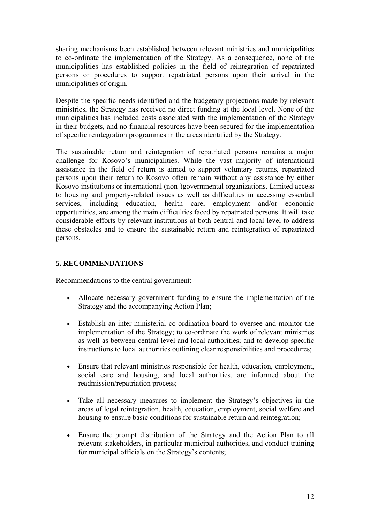sharing mechanisms been established between relevant ministries and municipalities to co-ordinate the implementation of the Strategy. As a consequence, none of the municipalities has established policies in the field of reintegration of repatriated persons or procedures to support repatriated persons upon their arrival in the municipalities of origin.

Despite the specific needs identified and the budgetary projections made by relevant ministries, the Strategy has received no direct funding at the local level. None of the municipalities has included costs associated with the implementation of the Strategy in their budgets, and no financial resources have been secured for the implementation of specific reintegration programmes in the areas identified by the Strategy.

The sustainable return and reintegration of repatriated persons remains a major challenge for Kosovo's municipalities. While the vast majority of international assistance in the field of return is aimed to support voluntary returns, repatriated persons upon their return to Kosovo often remain without any assistance by either Kosovo institutions or international (non-)governmental organizations. Limited access to housing and property-related issues as well as difficulties in accessing essential services, including education, health care, employment and/or economic opportunities, are among the main difficulties faced by repatriated persons. It will take considerable efforts by relevant institutions at both central and local level to address these obstacles and to ensure the sustainable return and reintegration of repatriated persons.

# **5. RECOMMENDATIONS**

Recommendations to the central government:

- Allocate necessary government funding to ensure the implementation of the Strategy and the accompanying Action Plan;
- Establish an inter-ministerial co-ordination board to oversee and monitor the implementation of the Strategy; to co-ordinate the work of relevant ministries as well as between central level and local authorities; and to develop specific instructions to local authorities outlining clear responsibilities and procedures;
- Ensure that relevant ministries responsible for health, education, employment, social care and housing, and local authorities, are informed about the readmission/repatriation process;
- Take all necessary measures to implement the Strategy's objectives in the areas of legal reintegration, health, education, employment, social welfare and housing to ensure basic conditions for sustainable return and reintegration;
- Ensure the prompt distribution of the Strategy and the Action Plan to all relevant stakeholders, in particular municipal authorities, and conduct training for municipal officials on the Strategy's contents;